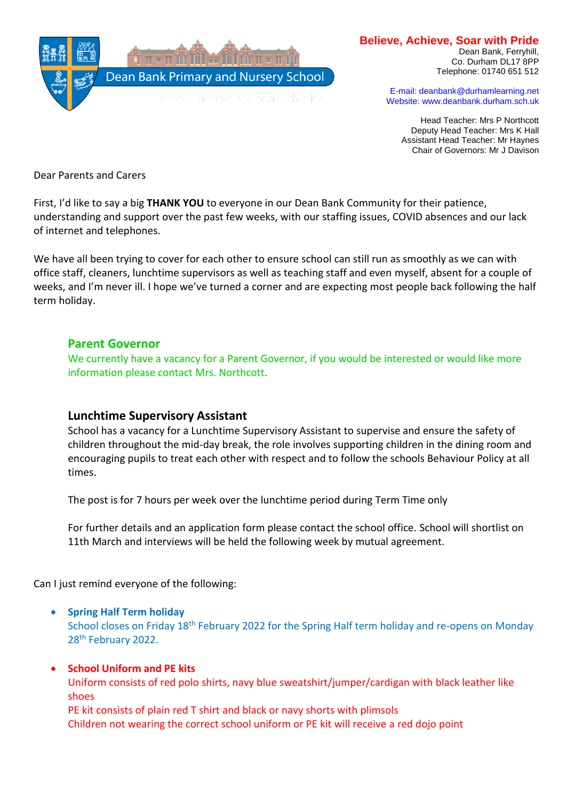

# **Believe, Achieve, Soar with Pride**

Dean Bank, Ferryhill, Co. Durham DL17 8PP Telephone: 01740 651 512

E-mail: deanbank@durhamlearning.net Website: www.deanbank.durham.sch.uk

Head Teacher: Mrs P Northcott Deputy Head Teacher: Mrs K Hall Assistant Head Teacher: Mr Haynes Chair of Governors: Mr J Davison

Dear Parents and Carers

First, I'd like to say a big **THANK YOU** to everyone in our Dean Bank Community for their patience, understanding and support over the past few weeks, with our staffing issues, COVID absences and our lack of internet and telephones.

We have all been trying to cover for each other to ensure school can still run as smoothly as we can with office staff, cleaners, lunchtime supervisors as well as teaching staff and even myself, absent for a couple of weeks, and I'm never ill. I hope we've turned a corner and are expecting most people back following the half term holiday.

# **Parent Governor**

We currently have a vacancy for a Parent Governor, if you would be interested or would like more information please contact Mrs. Northcott.

# **Lunchtime Supervisory Assistant**

School has a vacancy for a Lunchtime Supervisory Assistant to supervise and ensure the safety of children throughout the mid-day break, the role involves supporting children in the dining room and encouraging pupils to treat each other with respect and to follow the schools Behaviour Policy at all times.

The post is for 7 hours per week over the lunchtime period during Term Time only

For further details and an application form please contact the school office. School will shortlist on 11th March and interviews will be held the following week by mutual agreement.

Can I just remind everyone of the following:

#### • **Spring Half Term holiday**

School closes on Friday 18th February 2022 for the Spring Half term holiday and re-opens on Monday 28<sup>th</sup> February 2022.

#### • **School Uniform and PE kits**

Uniform consists of red polo shirts, navy blue sweatshirt/jumper/cardigan with black leather like shoes

PE kit consists of plain red T shirt and black or navy shorts with plimsols Children not wearing the correct school uniform or PE kit will receive a red dojo point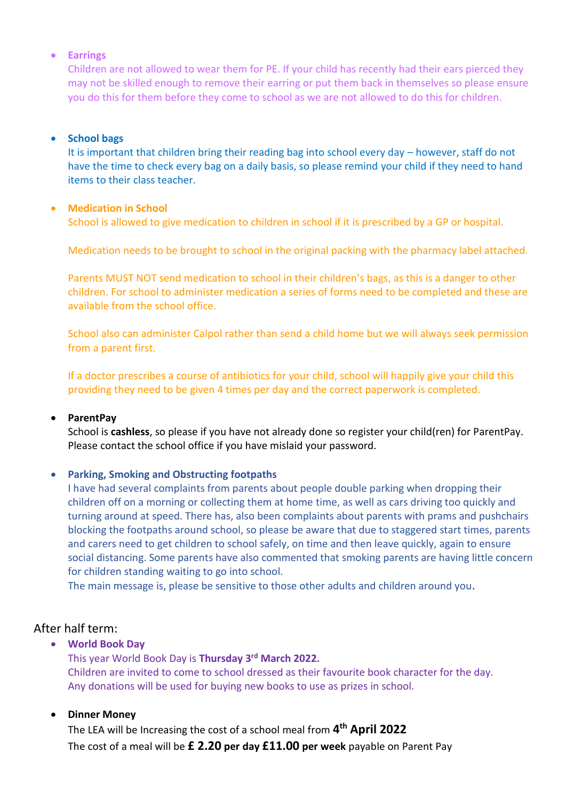## • **Earrings**

Children are not allowed to wear them for PE. If your child has recently had their ears pierced they may not be skilled enough to remove their earring or put them back in themselves so please ensure you do this for them before they come to school as we are not allowed to do this for children.

### • **School bags**

It is important that children bring their reading bag into school every day – however, staff do not have the time to check every bag on a daily basis, so please remind your child if they need to hand items to their class teacher.

## • **Medication in School**

School is allowed to give medication to children in school if it is prescribed by a GP or hospital.

Medication needs to be brought to school in the original packing with the pharmacy label attached.

Parents MUST NOT send medication to school in their children's bags, as this is a danger to other children. For school to administer medication a series of forms need to be completed and these are available from the school office.

School also can administer Calpol rather than send a child home but we will always seek permission from a parent first.

If a doctor prescribes a course of antibiotics for your child, school will happily give your child this providing they need to be given 4 times per day and the correct paperwork is completed.

#### • **ParentPay**

School is **cashless**, so please if you have not already done so register your child(ren) for ParentPay. Please contact the school office if you have mislaid your password.

# • **Parking, Smoking and Obstructing footpaths**

I have had several complaints from parents about people double parking when dropping their children off on a morning or collecting them at home time, as well as cars driving too quickly and turning around at speed. There has, also been complaints about parents with prams and pushchairs blocking the footpaths around school, so please be aware that due to staggered start times, parents and carers need to get children to school safely, on time and then leave quickly, again to ensure social distancing. Some parents have also commented that smoking parents are having little concern for children standing waiting to go into school.

The main message is, please be sensitive to those other adults and children around you.

# After half term:

• **World Book Day**

This year World Book Day is **Thursday 3rd March 2022.**  Children are invited to come to school dressed as their favourite book character for the day. Any donations will be used for buying new books to use as prizes in school.

# • **Dinner Money**

The LEA will be Increasing the cost of a school meal from **4 th April 2022** The cost of a meal will be **£ 2.20 per day £11.00 per week** payable on Parent Pay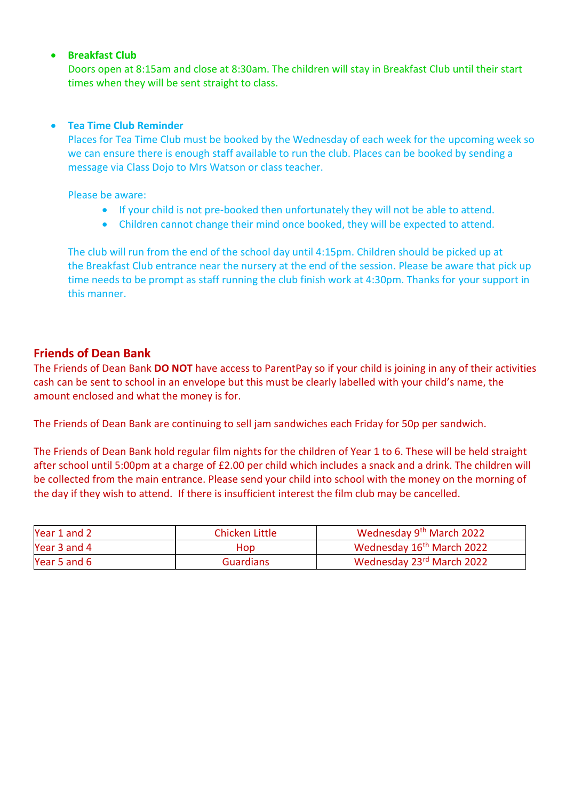## • **Breakfast Club**

Doors open at 8:15am and close at 8:30am. The children will stay in Breakfast Club until their start times when they will be sent straight to class.

## • **Tea Time Club Reminder**

Places for Tea Time Club must be booked by the Wednesday of each week for the upcoming week so we can ensure there is enough staff available to run the club. Places can be booked by sending a message via Class Dojo to Mrs Watson or class teacher.

Please be aware:

- If your child is not pre-booked then unfortunately they will not be able to attend.
- Children cannot change their mind once booked, they will be expected to attend.

The club will run from the end of the school day until 4:15pm. Children should be picked up at the Breakfast Club entrance near the nursery at the end of the session. Please be aware that pick up time needs to be prompt as staff running the club finish work at 4:30pm. Thanks for your support in this manner.

# **Friends of Dean Bank**

The Friends of Dean Bank **DO NOT** have access to ParentPay so if your child is joining in any of their activities cash can be sent to school in an envelope but this must be clearly labelled with your child's name, the amount enclosed and what the money is for.

The Friends of Dean Bank are continuing to sell jam sandwiches each Friday for 50p per sandwich.

The Friends of Dean Bank hold regular film nights for the children of Year 1 to 6. These will be held straight after school until 5:00pm at a charge of £2.00 per child which includes a snack and a drink. The children will be collected from the main entrance. Please send your child into school with the money on the morning of the day if they wish to attend. If there is insufficient interest the film club may be cancelled.

| Year 1 and 2 | Chicken Little   | Wednesday 9 <sup>th</sup> March 2022  |
|--------------|------------------|---------------------------------------|
| Year 3 and 4 | Hop              | Wednesday 16 <sup>th</sup> March 2022 |
| Year 5 and 6 | <b>Guardians</b> | Wednesday 23rd March 2022             |